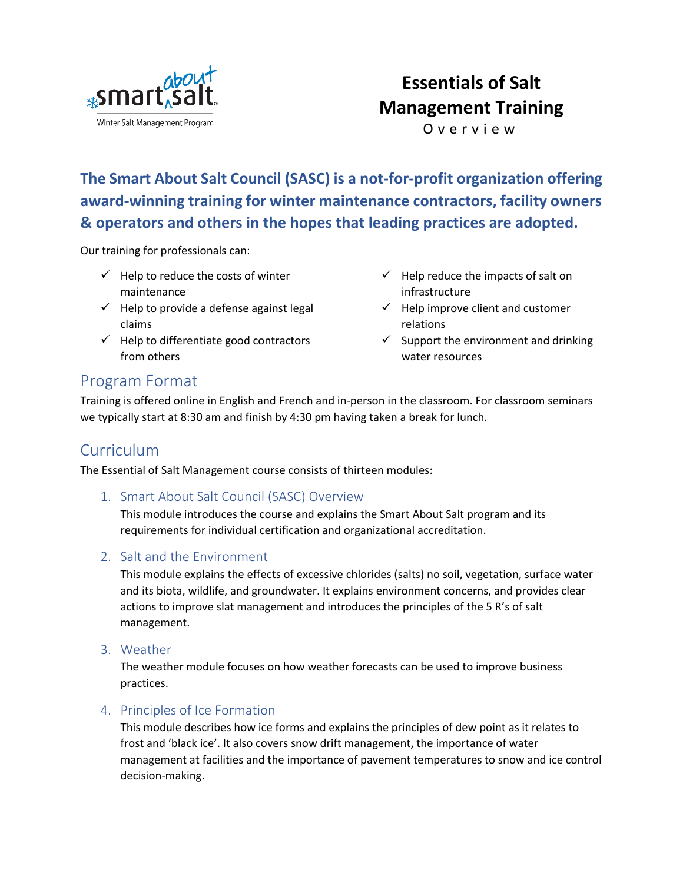

# **Essentials of Salt Management Training**

O v e r v i e w

**The Smart About Salt Council (SASC) is a not-for-profit organization offering award-winning training for winter maintenance contractors, facility owners & operators and others in the hopes that leading practices are adopted.**

Our training for professionals can:

- $\checkmark$  Help to reduce the costs of winter maintenance
- $\checkmark$  Help to provide a defense against legal claims
- $\checkmark$  Help to differentiate good contractors from others
- $\checkmark$  Help reduce the impacts of salt on infrastructure
- $\checkmark$  Help improve client and customer relations
- $\checkmark$  Support the environment and drinking water resources

### Program Format

Training is offered online in English and French and in-person in the classroom. For classroom seminars we typically start at 8:30 am and finish by 4:30 pm having taken a break for lunch.

### **Curriculum**

The Essential of Salt Management course consists of thirteen modules:

1. Smart About Salt Council (SASC) Overview

This module introduces the course and explains the Smart About Salt program and its requirements for individual certification and organizational accreditation.

#### 2. Salt and the Environment

This module explains the effects of excessive chlorides (salts) no soil, vegetation, surface water and its biota, wildlife, and groundwater. It explains environment concerns, and provides clear actions to improve slat management and introduces the principles of the 5 R's of salt management.

3. Weather

The weather module focuses on how weather forecasts can be used to improve business practices.

#### 4. Principles of Ice Formation

This module describes how ice forms and explains the principles of dew point as it relates to frost and 'black ice'. It also covers snow drift management, the importance of water management at facilities and the importance of pavement temperatures to snow and ice control decision-making.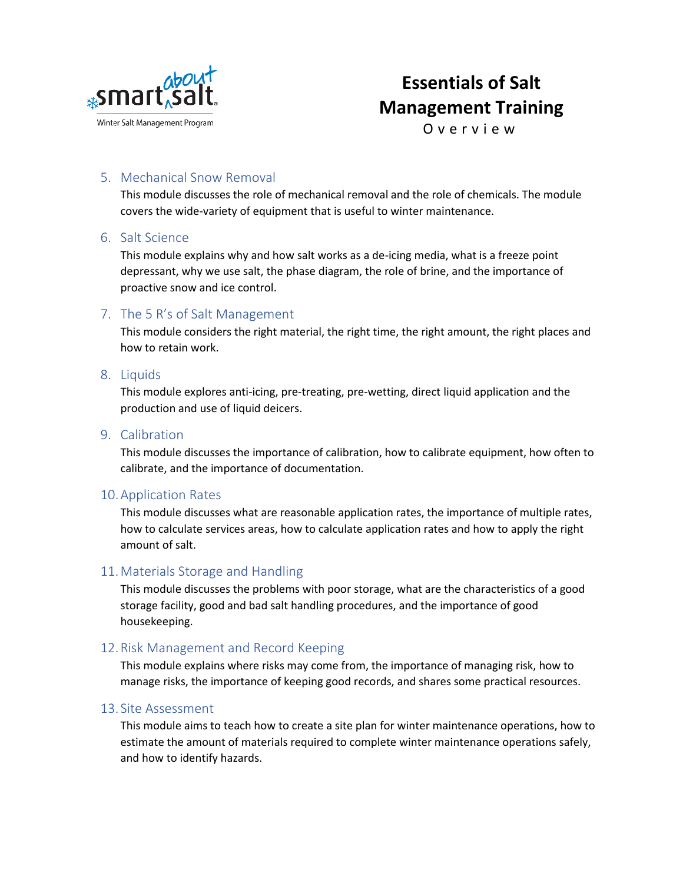

# **Essentials of Salt Management Training**

O v e r v i e w

#### 5. Mechanical Snow Removal

This module discusses the role of mechanical removal and the role of chemicals. The module covers the wide-variety of equipment that is useful to winter maintenance.

#### 6. Salt Science

This module explains why and how salt works as a de-icing media, what is a freeze point depressant, why we use salt, the phase diagram, the role of brine, and the importance of proactive snow and ice control.

#### 7. The 5 R's of Salt Management

This module considers the right material, the right time, the right amount, the right places and how to retain work.

#### 8. Liquids

This module explores anti-icing, pre-treating, pre-wetting, direct liquid application and the production and use of liquid deicers.

#### 9. Calibration

This module discusses the importance of calibration, how to calibrate equipment, how often to calibrate, and the importance of documentation.

#### 10.Application Rates

This module discusses what are reasonable application rates, the importance of multiple rates, how to calculate services areas, how to calculate application rates and how to apply the right amount of salt.

#### 11.Materials Storage and Handling

This module discusses the problems with poor storage, what are the characteristics of a good storage facility, good and bad salt handling procedures, and the importance of good housekeeping.

#### 12.Risk Management and Record Keeping

This module explains where risks may come from, the importance of managing risk, how to manage risks, the importance of keeping good records, and shares some practical resources.

#### 13. Site Assessment

This module aims to teach how to create a site plan for winter maintenance operations, how to estimate the amount of materials required to complete winter maintenance operations safely, and how to identify hazards.